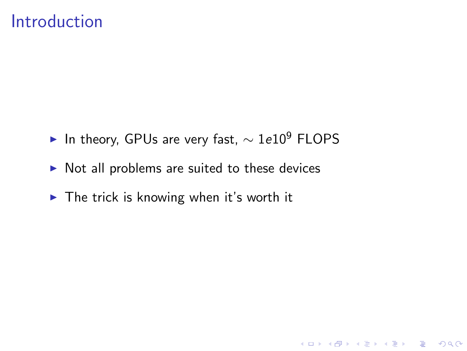#### Introduction

 $\blacktriangleright$  In theory, GPUs are very fast,  $\sim 1e10^9$  FLOPS

- $\triangleright$  Not all problems are suited to these devices
- $\blacktriangleright$  The trick is knowing when it's worth it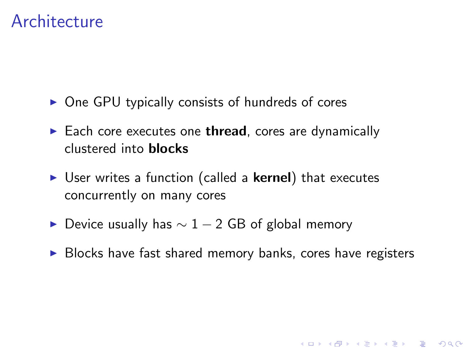#### **Architecture**

- $\triangleright$  One GPU typically consists of hundreds of cores
- $\blacktriangleright$  Each core executes one thread, cores are dynamically clustered into blocks
- $\triangleright$  User writes a function (called a **kernel**) that executes concurrently on many cores
- ► Device usually has  $\sim$  1 2 GB of global memory
- $\triangleright$  Blocks have fast shared memory banks, cores have registers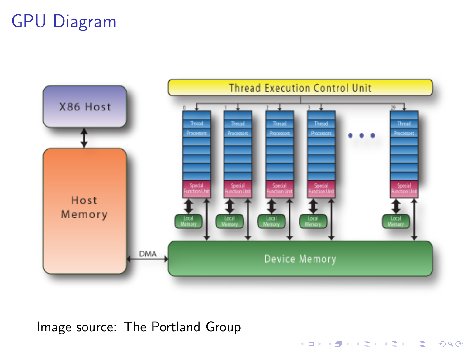# GPU Diagram



K □ ▶ K @ ▶ K 할 X K 할 X T 할 X 1 9 Q Q \*

Image source: The Portland Group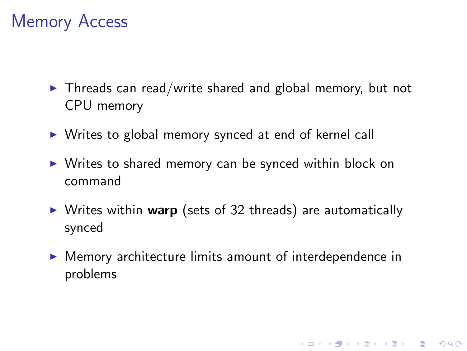#### Memory Access

- $\blacktriangleright$  Threads can read/write shared and global memory, but not CPU memory
- $\triangleright$  Writes to global memory synced at end of kernel call
- $\triangleright$  Writes to shared memory can be synced within block on command
- $\triangleright$  Writes within warp (sets of 32 threads) are automatically synced
- $\triangleright$  Memory architecture limits amount of interdependence in problems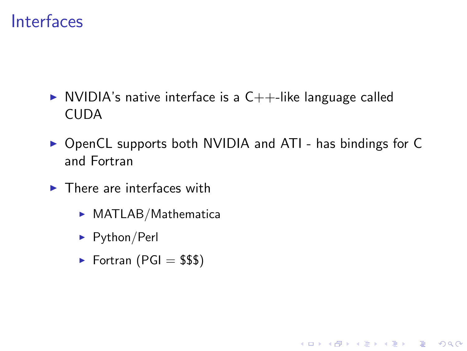#### Interfaces

- $\triangleright$  NVIDIA's native interface is a C++-like language called CUDA
- ▶ OpenCL supports both NVIDIA and ATI has bindings for C and Fortran

- $\blacktriangleright$  There are interfaces with
	- $\triangleright$  MATLAB/Mathematica
	- $\blacktriangleright$  Python/Perl
	- $\blacktriangleright$  Fortran (PGI = \$\$\$)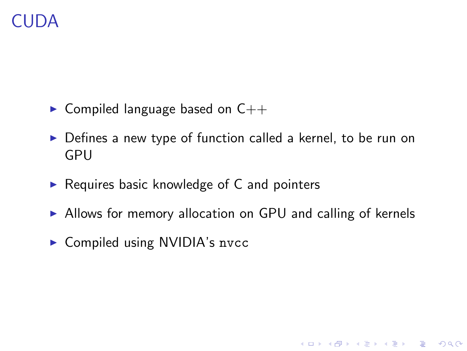## CUDA

- $\triangleright$  Compiled language based on  $C++$
- $\triangleright$  Defines a new type of function called a kernel, to be run on GPU
- $\triangleright$  Requires basic knowledge of C and pointers
- $\triangleright$  Allows for memory allocation on GPU and calling of kernels

K ロ ▶ K @ ▶ K 할 > K 할 > 1 할 > 1 이익어

 $\triangleright$  Compiled using NVIDIA's nvcc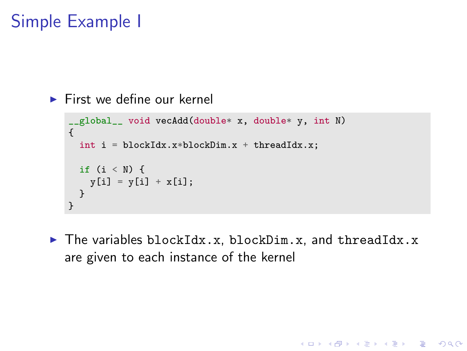## Simple Example I

```
\blacktriangleright First we define our kernel
```

```
__global__ void vecAdd(double* x, double* y, int N)
{
  int i = blockIdx.x * blockDim.x + threadIdx.x;if (i < N) {
   y[i] = y[i] + x[i];}
}
```
 $\blacktriangleright$  The variables blockIdx.x, blockDim.x, and threadIdx.x are given to each instance of the kernel

**KORK ERKER ADE YOUR**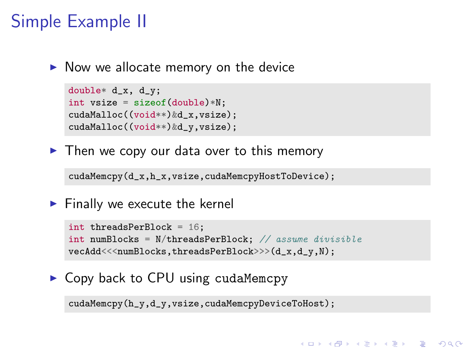## Simple Example II

 $\triangleright$  Now we allocate memory on the device

```
double* d_x, d_y;
int vsize = sizeof(double)*N;
cudaMalloc((void**)&d_x,vsize);
cudaMalloc((void**)&d_y,vsize);
```
 $\blacktriangleright$  Then we copy our data over to this memory

cudaMemcpy(d\_x,h\_x,vsize,cudaMemcpyHostToDevice);

 $\blacktriangleright$  Finally we execute the kernel

```
int threadsPerBlock = 16;
int numBlocks = N/threadsPerBlock; // assume divisible
vecAdd<<<numBlocks,threadsPerBlock>>>(d_x,d_y,N);
```
**KORK ERKER ADE YOUR** 

#### $\triangleright$  Copy back to CPU using cudaMemcpy

cudaMemcpy(h\_y,d\_y,vsize,cudaMemcpyDeviceToHost);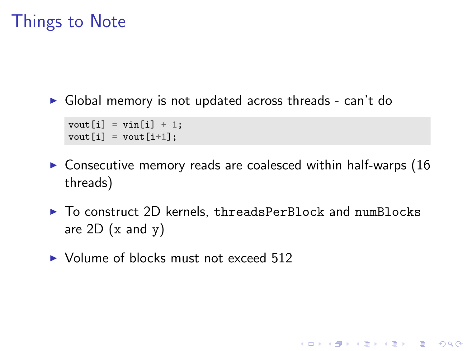#### Things to Note

 $\triangleright$  Global memory is not updated across threads - can't do

```
vout[i] = \text{vin}[i] + 1;
vout[i] = vout[i+1];
```
- $\triangleright$  Consecutive memory reads are coalesced within half-warps (16 threads)
- ▶ To construct 2D kernels, threadsPerBlock and numBlocks are  $2D$  (x and y)

**KORK ERKER ADE YOUR** 

 $\triangleright$  Volume of blocks must not exceed 512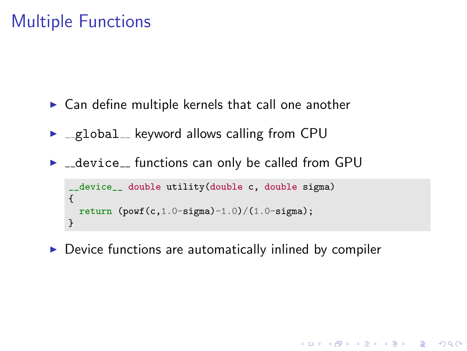## Multiple Functions

- $\triangleright$  Can define multiple kernels that call one another
- $\blacktriangleright$   $\text{I-global}_k$  keyword allows calling from CPU
- $\blacktriangleright$   $\sqsubset$  device $\sqsubset$  functions can only be called from GPU

```
__device__ double utility(double c, double sigma)
{
  return (powf(c,1.0-sigma)-1.0)/(1.0-sigma);
}
```
 $\triangleright$  Device functions are automatically inlined by compiler

**KORK ERKER ADE YOUR**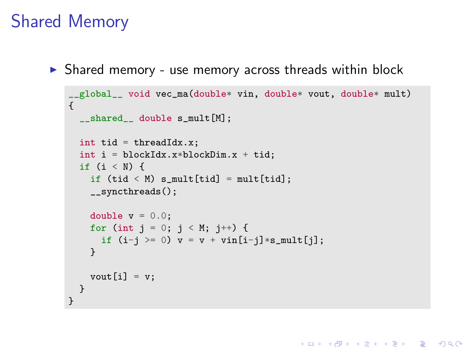#### Shared Memory

 $\triangleright$  Shared memory - use memory across threads within block

```
__global__ void vec_ma(double* vin, double* vout, double* mult)
{
 shared double s_mult[M];
  int tid = threadIdx.x;
  int i = 1 blockIdx.x*blockDim.x + tid;
 if (i < N) {
    if (tid \le M) s_mult[tid] = mult[tid];
    __syncthreads();
    double v = 0.0:
    for (int j = 0; j < M; j^{++}) {
     if (i-j \ge 0) v = v + vin[i-j]*s_mult[j];}
    vout[i] = v;}
}
```
**KORK STRAIN A BAR SHOP**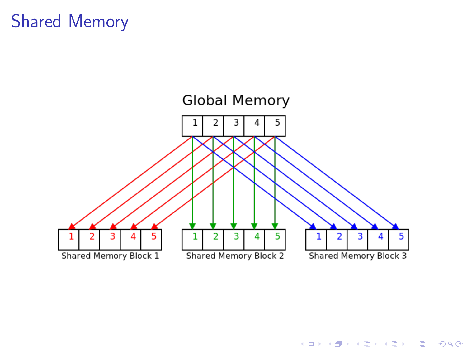## Shared Memory



K ロ ▶ K @ ▶ K 할 > K 할 > 1 할 > 1 ⊙ Q Q ^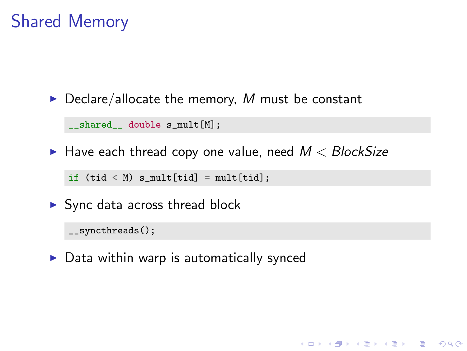## Shared Memory

 $\triangleright$  Declare/allocate the memory, M must be constant

\_\_shared\_\_ double s\_mult[M];

 $\blacktriangleright$  Have each thread copy one value, need  $M < BlockSize$ 

**KORK ERKER ADE YOUR** 

if  $(tid \le M)$  s\_mult[tid] = mult[tid];

 $\blacktriangleright$  Sync data across thread block

\_\_syncthreads();

 $\triangleright$  Data within warp is automatically synced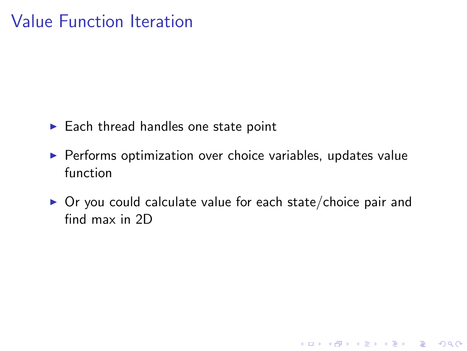## Value Function Iteration

- $\blacktriangleright$  Each thread handles one state point
- $\triangleright$  Performs optimization over choice variables, updates value function
- $\triangleright$  Or you could calculate value for each state/choice pair and find max in 2D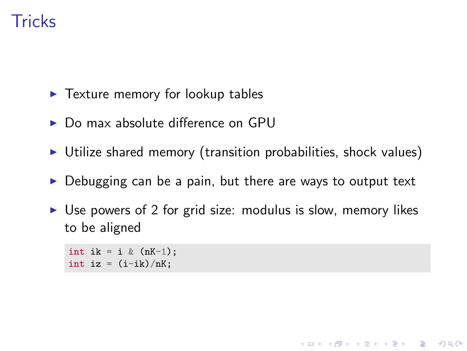## **Tricks**

- $\blacktriangleright$  Texture memory for lookup tables
- $\triangleright$  Do max absolute difference on GPU
- $\triangleright$  Utilize shared memory (transition probabilities, shock values)
- $\triangleright$  Debugging can be a pain, but there are ways to output text
- $\triangleright$  Use powers of 2 for grid size: modulus is slow, memory likes to be aligned

**KORK ERKER ADE YOUR** 

int ik = i &  $(nK-1)$ ; int iz =  $(i-ik)/nK;$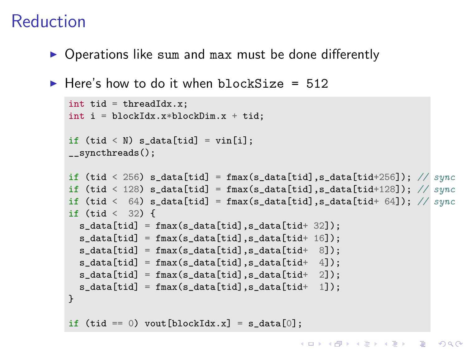## Reduction

 $\triangleright$  Operations like sum and max must be done differently

```
\blacktriangleright Here's how to do it when blockSize = 512
```

```
int tid = threadIdx.x;
int i = blockIdx.x * blockDim.x + tid;
if (tid \leq N) s data[tid] = vin[i];
__syncthreads();
if (tid < 256) s_data[tid] = fmax(s_data[tid],s_data[tid+256]); // sync
if (tid < 128) s_data[tid] = fmax(s_data[tid],s_data[tid+128]); // syncif (tid < 64) s_data[tid] = fmax(s_data[tid], s_data[tid+ 64]); // sync
if (tid < 32) {
  s_data[tid] = fmax(s_data[tid],s_data[tid+ 32]);
  s_data[tid] = fmax(s_data[tid], s_data[tid+ 16]);
  s_data[tid] = fmax(s_data[tid],s_data[tid+ 8]);
 s_data[tid] = fmax(s_data[tid], s_data[tid+ 4]);s_data[tid] = fmax(s_data[tid], s_data[tid+ 2]);s_data[tid] = fmax(s_data[tid], s_data[tid+ 1]);}
if (tid == 0) vout [blockIdx.x] = s data[0];
```
K ロ ▶ K @ ▶ K 할 ▶ K 할 ▶ 이 할 → 9 Q @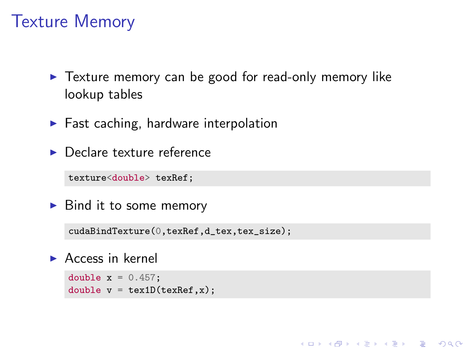#### Texture Memory

 $\blacktriangleright$  Texture memory can be good for read-only memory like lookup tables

**KORK ERKER ADE YOUR** 

- $\blacktriangleright$  Fast caching, hardware interpolation
- $\blacktriangleright$  Declare texture reference

texture<double> texRef;

 $\triangleright$  Bind it to some memory

cudaBindTexture(0,texRef,d\_tex,tex\_size);

 $\blacktriangleright$  Access in kernel

```
double x = 0.457:
double v = \text{text1D}(\text{textRef}, x);
```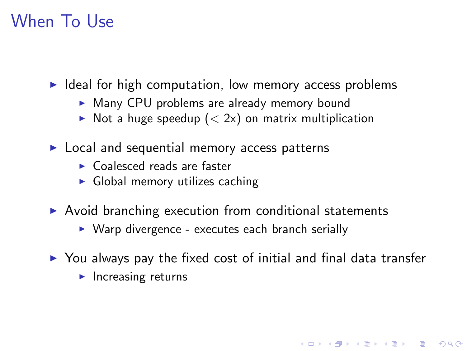## When To Use

 $\blacktriangleright$  Ideal for high computation, low memory access problems

- $\triangleright$  Many CPU problems are already memory bound
- $\triangleright$  Not a huge speedup ( $\lt 2x$ ) on matrix multiplication
- $\blacktriangleright$  Local and sequential memory access patterns
	- $\triangleright$  Coalesced reads are faster
	- $\triangleright$  Global memory utilizes caching
- $\triangleright$  Avoid branching execution from conditional statements
	- $\triangleright$  Warp divergence executes each branch serially
- $\triangleright$  You always pay the fixed cost of initial and final data transfer

**KORK ERKER ADE YOUR** 

 $\blacktriangleright$  Increasing returns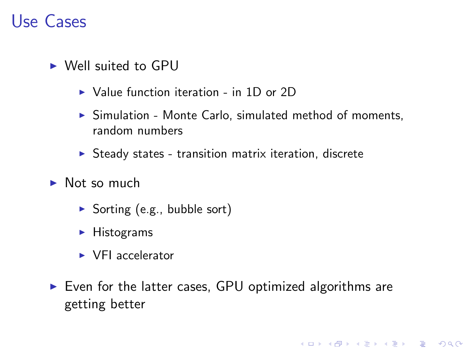#### Use Cases

- $\triangleright$  Well suited to GPU
	- $\triangleright$  Value function iteration in 1D or 2D
	- $\triangleright$  Simulation Monte Carlo, simulated method of moments, random numbers
	- $\triangleright$  Steady states transition matrix iteration, discrete
- $\blacktriangleright$  Not so much
	- $\triangleright$  Sorting (e.g., bubble sort)
	- $\blacktriangleright$  Histograms
	- $\triangleright$  VFI accelerator
- $\triangleright$  Even for the latter cases, GPU optimized algorithms are getting better

K ロ ▶ K @ ▶ K 할 ▶ K 할 ▶ 이 할 → 9 Q @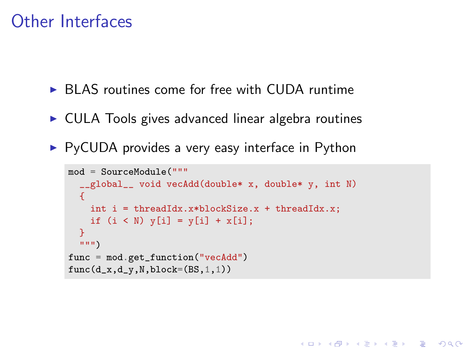#### Other Interfaces

- $\triangleright$  BLAS routines come for free with CUDA runtime
- $\triangleright$  CULA Tools gives advanced linear algebra routines
- $\triangleright$  PyCUDA provides a very easy interface in Python

```
mod = SourceModule("""
  __global__ void vecAdd(double* x, double* y, int N)
  {
    int i = threadIdx.x*blockSize.x + threadIdx.x;
    if (i \le N) \nabla[i] = \nabla[i] + \nabla[i];}
  """)
func = mod.get_function("vecAdd")
func(d_x,d_y,N,block=(BS,1,1))
```
**KORK STRAIN A BAR SHOP**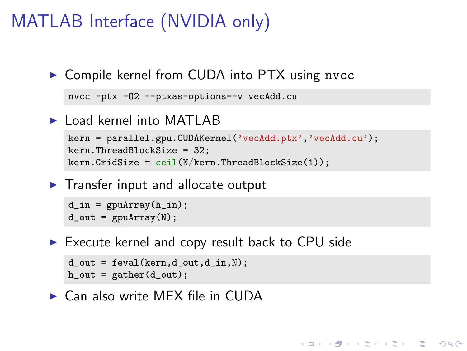## MATLAB Interface (NVIDIA only)

▶ Compile kernel from CUDA into PTX using nvcc

```
nvcc -ptx -O2 --ptxas-options=-v vecAdd.cu
```
 $\blacktriangleright$  Load kernel into MATLAB

```
kern = parallel.gpu.CUDAKernel('vecAdd.ptx','vecAdd.cu');
kern.ThreadBlockSize = 32;
kern.GridSize =ceil(N/kern.ThreadBlockSize(1));
```
**KORK ERKER ADE YOUR** 

 $\blacktriangleright$  Transfer input and allocate output

```
d_in = gputArray(h_in);d_out = gpuArray(N);
```
 $\triangleright$  Execute kernel and copy result back to CPU side

```
d_out = feval(kern,d_out,d_in,N);
h_out = gather(d_out);
```
 $\blacktriangleright$  Can also write MEX file in CUDA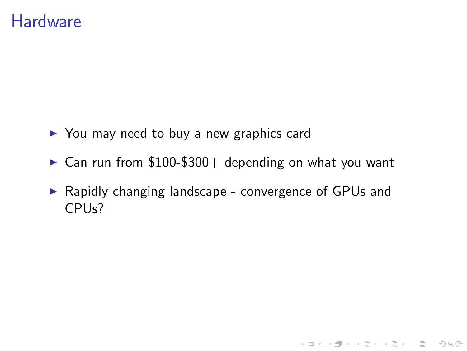#### **Hardware**

- $\triangleright$  You may need to buy a new graphics card
- $\triangleright$  Can run from \$100-\$300+ depending on what you want
- ▶ Rapidly changing landscape convergence of GPUs and CPUs?